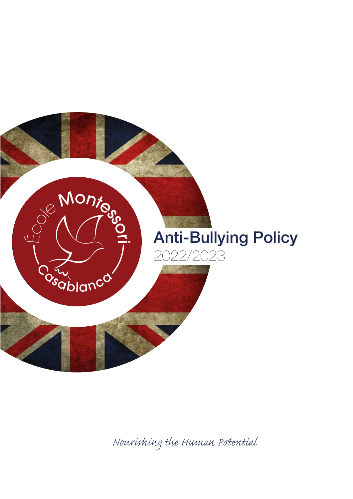

*Nourishing the Human Pential*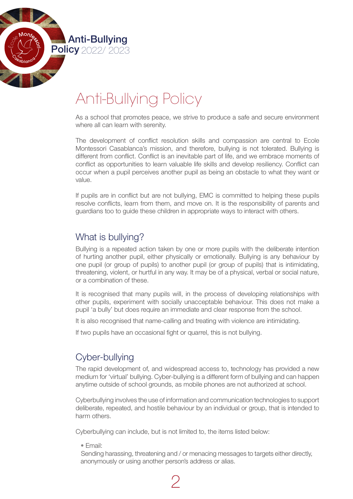

# Anti-Bullying Policy

As a school that promotes peace, we strive to produce a safe and secure environment where all can learn with serenity.

The development of conflict resolution skills and compassion are central to Ecole Montessori Casablanca's mission, and therefore, bullying is not tolerated. Bullying is different from conflict. Conflict is an inevitable part of life, and we embrace moments of conflict as opportunities to learn valuable life skills and develop resiliency. Conflict can occur when a pupil perceives another pupil as being an obstacle to what they want or value.

If pupils are in conflict but are not bullying, EMC is committed to helping these pupils resolve conflicts, learn from them, and move on. It is the responsibility of parents and guardians too to guide these children in appropriate ways to interact with others.

## What is bullying?

Bullying is a repeated action taken by one or more pupils with the deliberate intention of hurting another pupil, either physically or emotionally. Bullying is any behaviour by one pupil (or group of pupils) to another pupil (or group of pupils) that is intimidating, threatening, violent, or hurtful in any way. It may be of a physical, verbal or social nature, or a combination of these.

It is recognised that many pupils will, in the process of developing relationships with other pupils, experiment with socially unacceptable behaviour. This does not make a pupil 'a bully' but does require an immediate and clear response from the school.

It is also recognised that name-calling and treating with violence are intimidating.

If two pupils have an occasional fight or quarrel, this is not bullying.

## Cyber-bullying

The rapid development of, and widespread access to, technology has provided a new medium for 'virtual' bullying. Cyber-bullying is a different form of bullying and can happen anytime outside of school grounds, as mobile phones are not authorized at school.

Cyberbullying involves the use of information and communication technologies to support deliberate, repeated, and hostile behaviour by an individual or group, that is intended to harm others.

Cyberbullying can include, but is not limited to, the items listed below:

2

• Email:

 Sending harassing, threatening and / or menacing messages to targets either directly, anonymously or using another person's address or alias.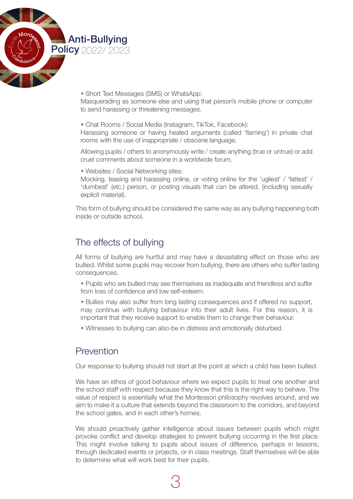

• Short Text Messages (SMS) or WhatsApp:

Masquerading as someone else and using that person's mobile phone or computer to send harassing or threatening messages.

• Chat Rooms / Social Media (Instagram, TikTok, Facebook):

Harassing someone or having heated arguments (called 'flaming') in private chat rooms with the use of inappropriate / obscene language.

Allowing pupils / others to anonymously write / create anything (true or untrue) or add cruel comments about someone in a worldwide forum.

• Websites / Social Networking sites:

Mocking, teasing and harassing online, or voting online for the 'ugliest' / 'fattest' / 'dumbest' (etc.) person, or posting visuals that can be altered. (including sexually explicit material).

This form of bullying should be considered the same way as any bullying happening both inside or outside school.

## The effects of bullying

All forms of bullying are hurtful and may have a devastating effect on those who are bullied. Whilst some pupils may recover from bullying, there are others who suffer lasting consequences.

- Pupils who are bullied may see themselves as inadequate and friendless and suffer from loss of confidence and low self-esteem.
- Bullies may also suffer from long lasting consequences and if offered no support, may continue with bullying behaviour into their adult lives. For this reason, it is important that they receive support to enable them to change their behaviour.
- Witnesses to bullying can also be in distress and emotionally disturbed.

## Prevention

Our response to bullying should not start at the point at which a child has been bullied.

We have an ethos of good behaviour where we expect pupils to treat one another and the school staff with respect because they know that this is the right way to behave. The value of respect is essentially what the Montessori philosophy revolves around, and we aim to make it a culture that extends beyond the classroom to the corridors, and beyond the school gates, and in each other's homes.

We should proactively gather intelligence about issues between pupils which might provoke conflict and develop strategies to prevent bullying occurring in the first place. This might involve talking to pupils about issues of difference, perhaps in lessons, through dedicated events or projects, or in class meetings. Staff themselves will be able to determine what will work best for their pupils.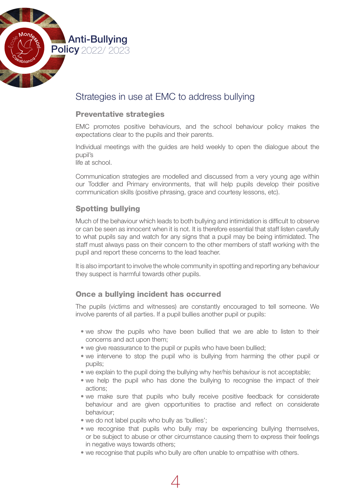Anti-Bullying **Policy 2022/ 2023** 

# Strategies in use at EMC to address bullying

#### Preventative strategies

EMC promotes positive behaviours, and the school behaviour policy makes the expectations clear to the pupils and their parents.

Individual meetings with the guides are held weekly to open the dialogue about the pupil's

life at school.

Communication strategies are modelled and discussed from a very young age within our Toddler and Primary environments, that will help pupils develop their positive communication skills (positive phrasing, grace and courtesy lessons, etc).

### Spotting bullying

Much of the behaviour which leads to both bullying and intimidation is difficult to observe or can be seen as innocent when it is not. It is therefore essential that staff listen carefully to what pupils say and watch for any signs that a pupil may be being intimidated. The staff must always pass on their concern to the other members of staff working with the pupil and report these concerns to the lead teacher.

It is also important to involve the whole community in spotting and reporting any behaviour they suspect is harmful towards other pupils.

#### Once a bullying incident has occurred

The pupils (victims and witnesses) are constantly encouraged to tell someone. We involve parents of all parties. If a pupil bullies another pupil or pupils:

- we show the pupils who have been bullied that we are able to listen to their concerns and act upon them;
- we give reassurance to the pupil or pupils who have been bullied;
- we intervene to stop the pupil who is bullying from harming the other pupil or pupils;
- we explain to the pupil doing the bullying why her/his behaviour is not acceptable;
- we help the pupil who has done the bullying to recognise the impact of their actions;
- we make sure that pupils who bully receive positive feedback for considerate behaviour and are given opportunities to practise and reflect on considerate behaviour;
- we do not label pupils who bully as 'bullies';
- we recognise that pupils who bully may be experiencing bullying themselves, or be subject to abuse or other circumstance causing them to express their feelings in negative ways towards others:
- we recognise that pupils who bully are often unable to empathise with others.

4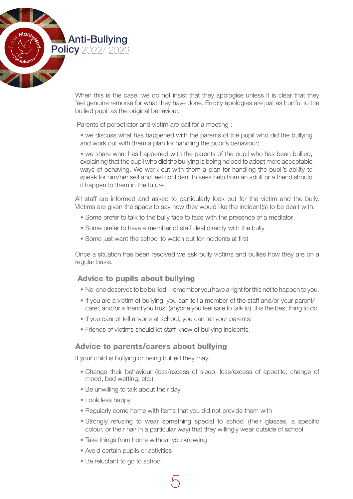

When this is the case, we do not insist that they apologise unless it is clear that they feel genuine remorse for what they have done. Empty apologies are just as hurtful to the bullied pupil as the original behaviour.

Parents of perpetrator and victim are call for a meeting :

• we discuss what has happened with the parents of the pupil who did the bullying and work out with them a plan for handling the pupil's behaviour;

• we share what has happened with the parents of the pupil who has been bullied, explaining that the pupil who did the bullying is being helped to adopt more acceptable ways of behaving. We work out with them a plan for handling the pupil's ability to speak for him/her self and feel confident to seek help from an adult or a friend should it happen to them in the future.

All staff are informed and asked to particularly look out for the victim and the bully. Victims are given the space to say how they would like the incident(s) to be dealt with:

- Some prefer to talk to the bully face to face with the presence of a mediator
- Some prefer to have a member of staff deal directly with the bully
- Some just want the school to watch out for incidents at first

Once a situation has been resolved we ask bully victims and bullies how they are on a regular basis.

#### Advice to pupils about bullying

- No-one deserves to be bullied remember you have a right for this not to happen to you.
- If you are a victim of bullying, you can tell a member of the staff and/or your parent/ carer, and/or a friend you trust (anyone you feel safe to talk to). It is the best thing to do.
- If you cannot tell anyone at school, you can tell your parents.
- Friends of victims should let staff know of bullying incidents.

#### Advice to parents/carers about bullying

If your child is bullying or being bullied they may:

- Change their behaviour (loss/excess of sleep, loss/excess of appetite, change of mood, bed wetting, etc.)
- Be unwilling to talk about their day
- Look less happy
- Regularly come home with items that you did not provide them with
- Strongly refusing to wear something special to school (their glasses, a specific colour, or their hair in a particular way) that they willingly wear outside of school
- Take things from home without you knowing
- Avoid certain pupils or activities
- Be reluctant to go to school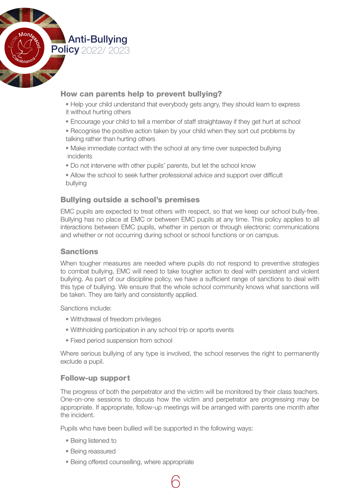Anti-Bullying **Policy** 2022/ 2023

### How can parents help to prevent bullying?

- Help your child understand that everybody gets angry, they should learn to express it without hurting others
- Encourage your child to tell a member of staff straightaway if they get hurt at school
- Recognise the positive action taken by your child when they sort out problems by talking rather than hurting others
- Make immediate contact with the school at any time over suspected bullying incidents
- Do not intervene with other pupils' parents, but let the school know
- Allow the school to seek further professional advice and support over difficult bullying

## Bullying outside a school's premises

EMC pupils are expected to treat others with respect, so that we keep our school bully-free. Bullying has no place at EMC or between EMC pupils at any time. This policy applies to all interactions between EMC pupils, whether in person or through electronic communications and whether or not occurring during school or school functions or on campus.

#### Sanctions

When tougher measures are needed where pupils do not respond to preventive strategies to combat bullying, EMC will need to take tougher action to deal with persistent and violent bullying. As part of our discipline policy, we have a sufficient range of sanctions to deal with this type of bullying. We ensure that the whole school community knows what sanctions will be taken. They are fairly and consistently applied.

Sanctions include:

- Withdrawal of freedom privileges
- Withholding participation in any school trip or sports events
- Fixed period suspension from school

Where serious bullying of any type is involved, the school reserves the right to permanently exclude a pupil.

#### Follow-up support

The progress of both the perpetrator and the victim will be monitored by their class teachers. One-on-one sessions to discuss how the victim and perpetrator are progressing may be appropriate. If appropriate, follow-up meetings will be arranged with parents one month after the incident.

Pupils who have been bullied will be supported in the following ways:

6

- Being listened to
- Being reassured
- Being offered counselling, where appropriate